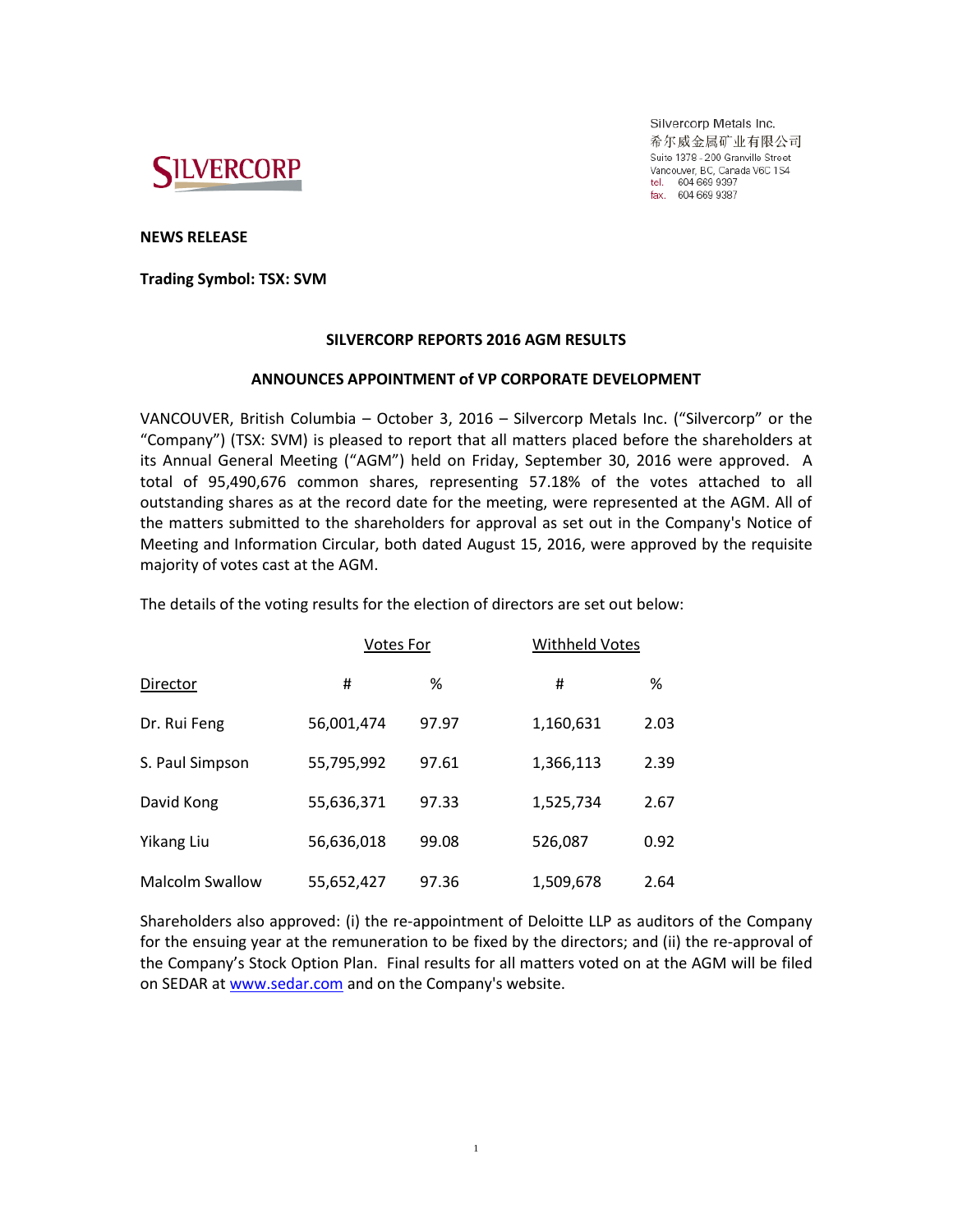

Silvercorp Metals Inc. 希尔威金属矿业有限公司 Suite 1378 - 200 Granville Street Vancouver, BC, Canada V6C 1S4 tel. 604 669 9397<br>fax. 604 669 9397

**NEWS RELEASE**

**Trading Symbol: TSX: SVM**

# **SILVERCORP REPORTS 2016 AGM RESULTS**

# **ANNOUNCES APPOINTMENT of VP CORPORATE DEVELOPMENT**

VANCOUVER, British Columbia – October 3, 2016 – Silvercorp Metals Inc. ("Silvercorp" or the "Company") (TSX: SVM) is pleased to report that all matters placed before the shareholders at its Annual General Meeting ("AGM") held on Friday, September 30, 2016 were approved. A total of 95,490,676 common shares, representing 57.18% of the votes attached to all outstanding shares as at the record date for the meeting, were represented at the AGM. All of the matters submitted to the shareholders for approval as set out in the Company's Notice of Meeting and Information Circular, both dated August 15, 2016, were approved by the requisite majority of votes cast at the AGM.

The details of the voting results for the election of directors are set out below:

|                        | <b>Votes For</b> |       | <b>Withheld Votes</b> |      |
|------------------------|------------------|-------|-----------------------|------|
| Director               | #                | ℅     | #                     | %    |
| Dr. Rui Feng           | 56,001,474       | 97.97 | 1,160,631             | 2.03 |
| S. Paul Simpson        | 55,795,992       | 97.61 | 1,366,113             | 2.39 |
| David Kong             | 55,636,371       | 97.33 | 1,525,734             | 2.67 |
| Yikang Liu             | 56,636,018       | 99.08 | 526,087               | 0.92 |
| <b>Malcolm Swallow</b> | 55,652,427       | 97.36 | 1,509,678             | 2.64 |

Shareholders also approved: (i) the re-appointment of Deloitte LLP as auditors of the Company for the ensuing year at the remuneration to be fixed by the directors; and (ii) the re-approval of the Company's Stock Option Plan. Final results for all matters voted on at the AGM will be filed on SEDAR a[t www.sedar.com](http://www.sedar.com/) and on the Company's website.